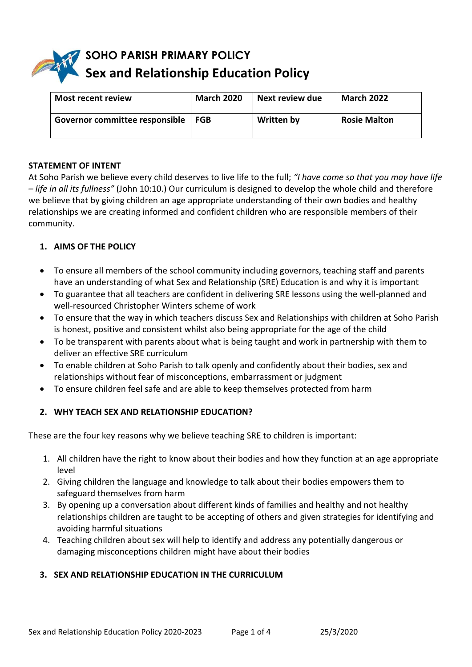# **SOHO PARISH PRIMARY POLICY Sex and Relationship Education Policy**

| <b>Most recent review</b>      | <b>March 2020</b> | Next review due | <b>March 2022</b>   |
|--------------------------------|-------------------|-----------------|---------------------|
| Governor committee responsible | FGB               | Written by      | <b>Rosie Malton</b> |

#### **STATEMENT OF INTENT**

At Soho Parish we believe every child deserves to live life to the full; *"I have come so that you may have life – life in all its fullness"* (John 10:10.) Our curriculum is designed to develop the whole child and therefore we believe that by giving children an age appropriate understanding of their own bodies and healthy relationships we are creating informed and confident children who are responsible members of their community.

## **1. AIMS OF THE POLICY**

- To ensure all members of the school community including governors, teaching staff and parents have an understanding of what Sex and Relationship (SRE) Education is and why it is important
- To guarantee that all teachers are confident in delivering SRE lessons using the well-planned and well-resourced Christopher Winters scheme of work
- To ensure that the way in which teachers discuss Sex and Relationships with children at Soho Parish is honest, positive and consistent whilst also being appropriate for the age of the child
- To be transparent with parents about what is being taught and work in partnership with them to deliver an effective SRE curriculum
- To enable children at Soho Parish to talk openly and confidently about their bodies, sex and relationships without fear of misconceptions, embarrassment or judgment
- To ensure children feel safe and are able to keep themselves protected from harm

## **2. WHY TEACH SEX AND RELATIONSHIP EDUCATION?**

These are the four key reasons why we believe teaching SRE to children is important:

- 1. All children have the right to know about their bodies and how they function at an age appropriate level
- 2. Giving children the language and knowledge to talk about their bodies empowers them to safeguard themselves from harm
- 3. By opening up a conversation about different kinds of families and healthy and not healthy relationships children are taught to be accepting of others and given strategies for identifying and avoiding harmful situations
- 4. Teaching children about sex will help to identify and address any potentially dangerous or damaging misconceptions children might have about their bodies

## **3. SEX AND RELATIONSHIP EDUCATION IN THE CURRICULUM**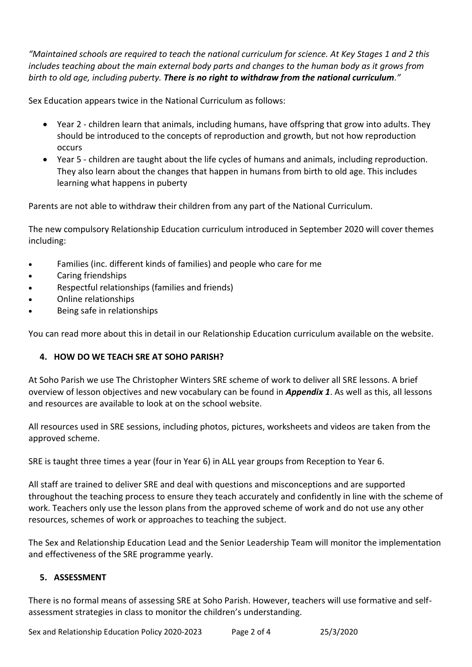*"Maintained schools are required to teach the national curriculum for science. At Key Stages 1 and 2 this includes teaching about the main external body parts and changes to the human body as it grows from birth to old age, including puberty. There is no right to withdraw from the national curriculum."*

Sex Education appears twice in the National Curriculum as follows:

- Year 2 children learn that animals, including humans, have offspring that grow into adults. They should be introduced to the concepts of reproduction and growth, but not how reproduction occurs
- Year 5 children are taught about the life cycles of humans and animals, including reproduction. They also learn about the changes that happen in humans from birth to old age. This includes learning what happens in puberty

Parents are not able to withdraw their children from any part of the National Curriculum.

The new compulsory Relationship Education curriculum introduced in September 2020 will cover themes including:

- Families (inc. different kinds of families) and people who care for me
- Caring friendships
- Respectful relationships (families and friends)
- Online relationships
- Being safe in relationships

You can read more about this in detail in our Relationship Education curriculum available on the website.

## **4. HOW DO WE TEACH SRE AT SOHO PARISH?**

At Soho Parish we use The Christopher Winters SRE scheme of work to deliver all SRE lessons. A brief overview of lesson objectives and new vocabulary can be found in *Appendix 1*. As well as this, all lessons and resources are available to look at on the school website.

All resources used in SRE sessions, including photos, pictures, worksheets and videos are taken from the approved scheme.

SRE is taught three times a year (four in Year 6) in ALL year groups from Reception to Year 6.

All staff are trained to deliver SRE and deal with questions and misconceptions and are supported throughout the teaching process to ensure they teach accurately and confidently in line with the scheme of work. Teachers only use the lesson plans from the approved scheme of work and do not use any other resources, schemes of work or approaches to teaching the subject.

The Sex and Relationship Education Lead and the Senior Leadership Team will monitor the implementation and effectiveness of the SRE programme yearly.

## **5. ASSESSMENT**

There is no formal means of assessing SRE at Soho Parish. However, teachers will use formative and selfassessment strategies in class to monitor the children's understanding.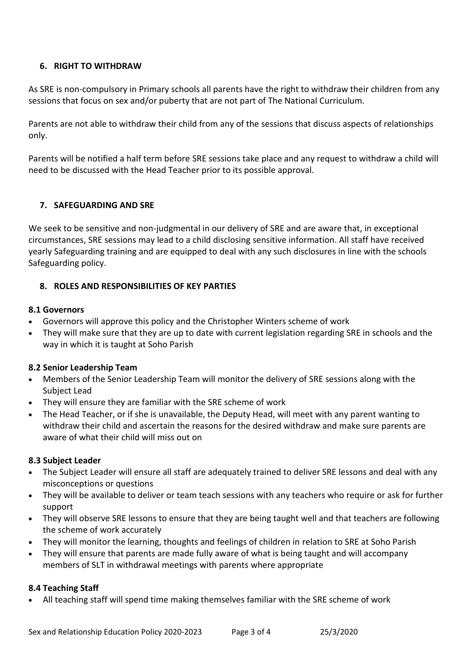## **6. RIGHT TO WITHDRAW**

As SRE is non-compulsory in Primary schools all parents have the right to withdraw their children from any sessions that focus on sex and/or puberty that are not part of The National Curriculum.

Parents are not able to withdraw their child from any of the sessions that discuss aspects of relationships only.

Parents will be notified a half term before SRE sessions take place and any request to withdraw a child will need to be discussed with the Head Teacher prior to its possible approval.

## **7. SAFEGUARDING AND SRE**

We seek to be sensitive and non-judgmental in our delivery of SRE and are aware that, in exceptional circumstances, SRE sessions may lead to a child disclosing sensitive information. All staff have received yearly Safeguarding training and are equipped to deal with any such disclosures in line with the schools Safeguarding policy.

## **8. ROLES AND RESPONSIBILITIES OF KEY PARTIES**

## **8.1 Governors**

- Governors will approve this policy and the Christopher Winters scheme of work
- They will make sure that they are up to date with current legislation regarding SRE in schools and the way in which it is taught at Soho Parish

## **8.2 Senior Leadership Team**

- Members of the Senior Leadership Team will monitor the delivery of SRE sessions along with the Subject Lead
- They will ensure they are familiar with the SRE scheme of work
- The Head Teacher, or if she is unavailable, the Deputy Head, will meet with any parent wanting to withdraw their child and ascertain the reasons for the desired withdraw and make sure parents are aware of what their child will miss out on

## **8.3 Subject Leader**

- The Subject Leader will ensure all staff are adequately trained to deliver SRE lessons and deal with any misconceptions or questions
- They will be available to deliver or team teach sessions with any teachers who require or ask for further support
- They will observe SRE lessons to ensure that they are being taught well and that teachers are following the scheme of work accurately
- They will monitor the learning, thoughts and feelings of children in relation to SRE at Soho Parish
- They will ensure that parents are made fully aware of what is being taught and will accompany members of SLT in withdrawal meetings with parents where appropriate

## **8.4 Teaching Staff**

All teaching staff will spend time making themselves familiar with the SRE scheme of work